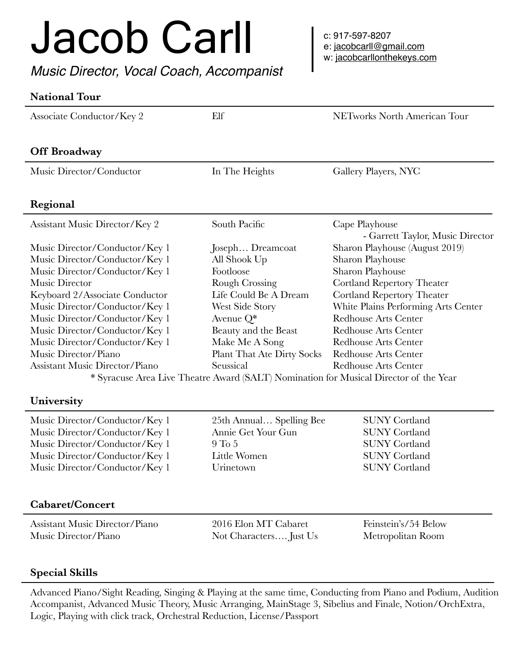# Jacob Carll

*Music Director, Vocal Coach, Accompanist*

# **National Tour**

| Associate Conductor/Key 2                                                             | Elf                               | NETworks North American Tour        |  |
|---------------------------------------------------------------------------------------|-----------------------------------|-------------------------------------|--|
| <b>Off Broadway</b>                                                                   |                                   |                                     |  |
| Music Director/Conductor                                                              | In The Heights                    | Gallery Players, NYC                |  |
|                                                                                       |                                   |                                     |  |
| Regional                                                                              |                                   |                                     |  |
| Assistant Music Director/Key 2                                                        | South Pacific                     | Cape Playhouse                      |  |
|                                                                                       |                                   | - Garrett Taylor, Music Director    |  |
| Music Director/Conductor/Key 1                                                        | Joseph Dreamcoat                  | Sharon Playhouse (August 2019)      |  |
| Music Director/Conductor/Key 1                                                        | All Shook Up                      | Sharon Playhouse                    |  |
| Music Director/Conductor/Key 1                                                        | Footloose                         | <b>Sharon Playhouse</b>             |  |
| <b>Music Director</b>                                                                 | Rough Crossing                    | Cortland Repertory Theater          |  |
| Keyboard 2/Associate Conductor                                                        | Life Could Be A Dream             | <b>Cortland Repertory Theater</b>   |  |
| Music Director/Conductor/Key 1                                                        | West Side Story                   | White Plains Performing Arts Center |  |
| Music Director/Conductor/Key 1                                                        | Avenue $Q^*$                      | <b>Redhouse Arts Center</b>         |  |
| Music Director/Conductor/Key 1                                                        | Beauty and the Beast              | <b>Redhouse Arts Center</b>         |  |
| Music Director/Conductor/Key 1                                                        | Make Me A Song                    | <b>Redhouse Arts Center</b>         |  |
| Music Director/Piano                                                                  | <b>Plant That Ate Dirty Socks</b> | <b>Redhouse Arts Center</b>         |  |
| <b>Assistant Music Director/Piano</b>                                                 | Seussical                         | <b>Redhouse Arts Center</b>         |  |
| * Syracuse Area Live Theatre Award (SALT) Nomination for Musical Director of the Year |                                   |                                     |  |

## **University**

Music Director/Conductor/Key 1 25th Annual... Spelling Bee SUNY Cortland<br>
Music Director/Conductor/Key 1 Annie Get Your Gun SUNY Cortland Music Director/Conductor/Key 1 Annie Get Your Gun SUNY Cortland Music Director/Conductor/Key 1 9 To 5 SUNY Cortland Music Director/Conductor/Key 1 Little Women SUNY Cortland Music Director/Conductor/Key 1 Urinetown SUNY Cortland

## **Cabaret/Concert**

Assistant Music Director/Piano 2016 Elon MT Cabaret Feinstein's/54 Below Music Director/Piano Not Characters.... Just Us Metropolitan Room

# **Special Skills**

Advanced Piano/Sight Reading, Singing & Playing at the same time, Conducting from Piano and Podium, Audition Accompanist, Advanced Music Theory, Music Arranging, MainStage 3, Sibelius and Finale, Notion/OrchExtra, Logic, Playing with click track, Orchestral Reduction, License/Passport